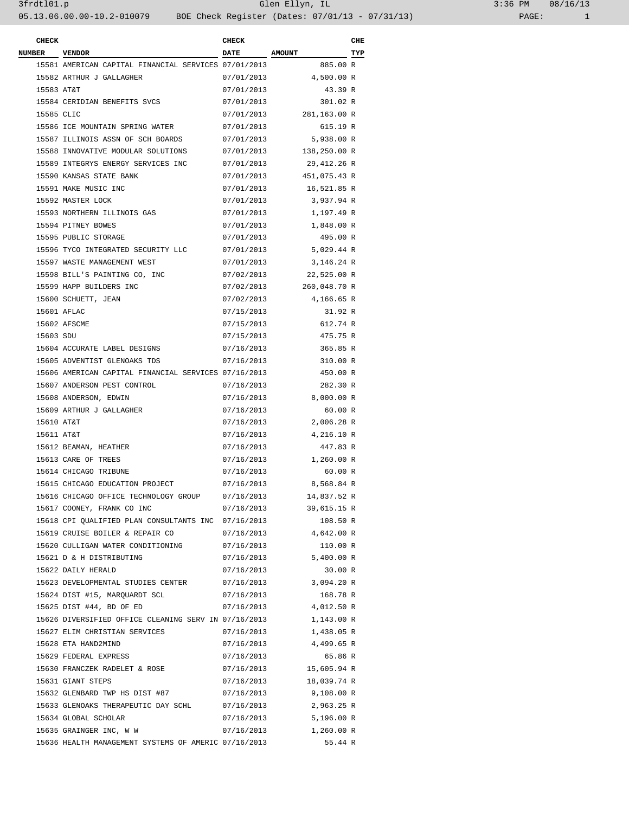| 3:36 PM |       | 08/16/13 |  |  |
|---------|-------|----------|--|--|
|         | PAGE: |          |  |  |

| <b>CHECK</b>  |                                                                 | <b>CHECK</b> |                         | CHE |
|---------------|-----------------------------------------------------------------|--------------|-------------------------|-----|
| <b>NUMBER</b> | <b>VENDOR</b>                                                   | <b>DATE</b>  | <b>AMOUNT</b>           | TYP |
|               | 15581 AMERICAN CAPITAL FINANCIAL SERVICES 07/01/2013            |              | 885.00 R                |     |
|               | 15582 ARTHUR J GALLAGHER                                        | 07/01/2013   | 4,500.00 R              |     |
| 15583 AT&T    |                                                                 | 07/01/2013   | 43.39 R                 |     |
|               | 15584 CERIDIAN BENEFITS SVCS                                    | 07/01/2013   | 301.02 R                |     |
| 15585 CLIC    |                                                                 | 07/01/2013   | 281,163.00 R            |     |
|               | 15586 ICE MOUNTAIN SPRING WATER                                 | 07/01/2013   | 615.19 R                |     |
|               | 15587 ILLINOIS ASSN OF SCH BOARDS                               | 07/01/2013   | 5,938.00 R              |     |
|               | 15588 INNOVATIVE MODULAR SOLUTIONS                              |              | 07/01/2013 138,250.00 R |     |
|               | 15589 INTEGRYS ENERGY SERVICES INC                              | 07/01/2013   | 29,412.26 R             |     |
|               | 15590 KANSAS STATE BANK                                         | 07/01/2013   | 451,075.43 R            |     |
|               | 15591 MAKE MUSIC INC                                            | 07/01/2013   | 16,521.85 R             |     |
|               | 15592 MASTER LOCK                                               | 07/01/2013   | 3,937.94 R              |     |
|               | 15593 NORTHERN ILLINOIS GAS                                     | 07/01/2013   | 1,197.49 R              |     |
|               | 15594 PITNEY BOWES                                              | 07/01/2013   | 1,848.00 R              |     |
|               | 15595 PUBLIC STORAGE                                            | 07/01/2013   | 495.00 R                |     |
|               | 15596 TYCO INTEGRATED SECURITY LLC                              | 07/01/2013   | 5,029.44 R              |     |
|               | 15597 WASTE MANAGEMENT WEST                                     | 07/01/2013   | 3,146.24 R              |     |
|               | 15598 BILL'S PAINTING CO, INC                                   | 07/02/2013   | 22,525.00 R             |     |
|               | 15599 HAPP BUILDERS INC                                         |              | 07/02/2013 260,048.70 R |     |
|               | 15600 SCHUETT, JEAN                                             | 07/02/2013   | 4,166.65 R              |     |
|               | 15601 AFLAC                                                     | 07/15/2013   | 31.92 R                 |     |
|               | 15602 AFSCME                                                    | 07/15/2013   | 612.74 R                |     |
| 15603 SDU     |                                                                 | 07/15/2013   | 475.75 R                |     |
|               | 15604 ACCURATE LABEL DESIGNS                                    | 07/16/2013   | 365.85 R                |     |
|               | 15605 ADVENTIST GLENOAKS TDS                                    | 07/16/2013   | 310.00 R                |     |
|               | 15606 AMERICAN CAPITAL FINANCIAL SERVICES 07/16/2013            |              | 450.00 R                |     |
|               | 15607 ANDERSON PEST CONTROL                                     |              | 282.30 R                |     |
|               |                                                                 | 07/16/2013   |                         |     |
|               | 15608 ANDERSON, EDWIN                                           | 07/16/2013   | 8,000.00 R              |     |
|               | 15609 ARTHUR J GALLAGHER                                        | 07/16/2013   | 60.00 R                 |     |
| 15610 AT&T    |                                                                 | 07/16/2013   | 2,006.28 R              |     |
| 15611 AT&T    |                                                                 | 07/16/2013   | 4,216.10 R              |     |
|               | 15612 BEAMAN, HEATHER                                           | 07/16/2013   | 447.83 R                |     |
|               | 15613 CARE OF TREES                                             | 07/16/2013   | 1,260.00 R              |     |
|               | 15614 CHICAGO TRIBUNE                                           | 07/16/2013   | 60.00 R                 |     |
|               | 15615 CHICAGO EDUCATION PROJECT                                 | 07/16/2013   | 8,568.84 R              |     |
|               | 15616 CHICAGO OFFICE TECHNOLOGY GROUP                           | 07/16/2013   | 14,837.52 R             |     |
|               | 15617 COONEY, FRANK CO INC                                      |              | 07/16/2013 39,615.15 R  |     |
|               | 15618 CPI QUALIFIED PLAN CONSULTANTS INC 07/16/2013             |              | 108.50 R                |     |
|               | 15619 CRUISE BOILER & REPAIR CO                                 |              | 07/16/2013 4,642.00 R   |     |
|               | 15620 CULLIGAN WATER CONDITIONING 07/16/2013                    |              | 110.00 R                |     |
|               | 15621 D & H DISTRIBUTING                                        |              | 07/16/2013 5,400.00 R   |     |
|               | 15622 DAILY HERALD                                              | 07/16/2013   | 30.00 R                 |     |
|               | 15623 DEVELOPMENTAL STUDIES CENTER 07/16/2013 3,094.20 R        |              |                         |     |
|               | 15624 DIST #15, MARQUARDT SCL                                   | 07/16/2013   | 168.78 R                |     |
|               | 15625 DIST #44, BD OF ED                                        |              | 07/16/2013 4,012.50 R   |     |
|               | 15626 DIVERSIFIED OFFICE CLEANING SERV IN 07/16/2013 1,143.00 R |              |                         |     |
|               | 15627 ELIM CHRISTIAN SERVICES                                   |              | 07/16/2013 1,438.05 R   |     |
|               | 15628 ETA HAND2MIND                                             |              | 07/16/2013 4,499.65 R   |     |
|               | 15629 FEDERAL EXPRESS                                           | 07/16/2013   | 65.86 R                 |     |
|               | 15630 FRANCZEK RADELET & ROSE                                   |              | 07/16/2013 15,605.94 R  |     |
|               | 15631 GIANT STEPS                                               |              | 07/16/2013 18,039.74 R  |     |
|               | 15632 GLENBARD TWP HS DIST #87                                  | 07/16/2013   | 9,108.00 R              |     |
|               | 15633 GLENOAKS THERAPEUTIC DAY SCHL 07/16/2013 2,963.25 R       |              |                         |     |
|               | 15634 GLOBAL SCHOLAR                                            |              | 07/16/2013 5,196.00 R   |     |
|               | 15635 GRAINGER INC, W W                                         |              | 07/16/2013 1,260.00 R   |     |
|               | 15636 HEALTH MANAGEMENT SYSTEMS OF AMERIC 07/16/2013            |              | 55.44 R                 |     |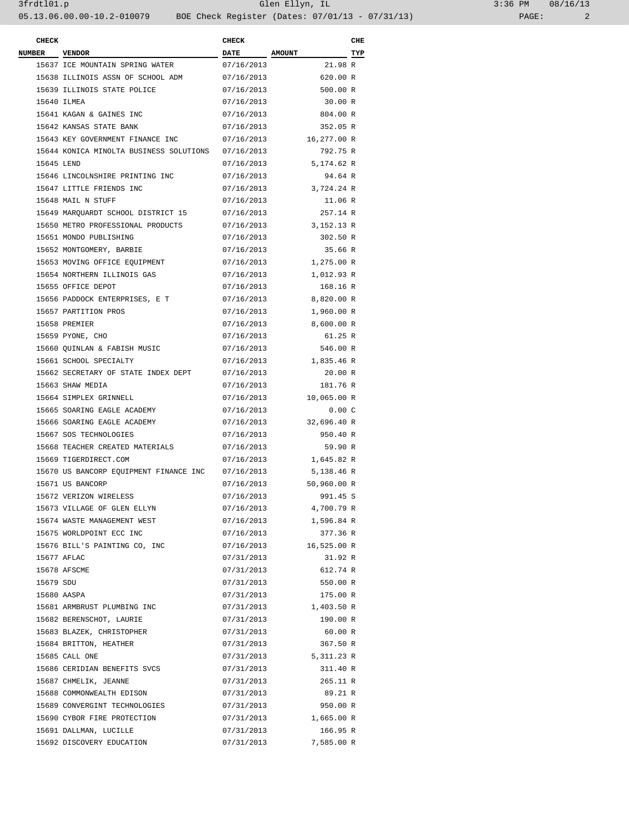## 3frdtl01.p Glen Ellyn, IL 3:36 PM 08/16/13 05.13.06.00.00-10.2-010079 BOE Check Register (Dates: 07/01/13 - 07/31/13) PAGE: 2

| 3:36 PM |       | 08/16/13 |  |  |
|---------|-------|----------|--|--|
|         | PAGE: |          |  |  |

| <b>CHECK</b>  |                                         | <b>CHECK</b> |                       | CHE |
|---------------|-----------------------------------------|--------------|-----------------------|-----|
| <b>NUMBER</b> | <b>VENDOR</b>                           | DATE AMOUNT  |                       | TYP |
|               | 15637 ICE MOUNTAIN SPRING WATER         | 07/16/2013   | 21.98 R               |     |
|               | 15638 ILLINOIS ASSN OF SCHOOL ADM       | 07/16/2013   | 620.00 R              |     |
|               | 15639 ILLINOIS STATE POLICE             | 07/16/2013   | 500.00 R              |     |
|               | 15640 ILMEA                             | 07/16/2013   | 30.00 R               |     |
|               | 15641 KAGAN & GAINES INC                | 07/16/2013   | 804.00 R              |     |
|               | 15642 KANSAS STATE BANK                 | 07/16/2013   | 352.05 R              |     |
|               | 15643 KEY GOVERNMENT FINANCE INC        | 07/16/2013   | 16,277.00 R           |     |
|               | 15644 KONICA MINOLTA BUSINESS SOLUTIONS | 07/16/2013   | 792.75 R              |     |
| 15645 LEND    |                                         | 07/16/2013   | 5,174.62 R            |     |
|               | 15646 LINCOLNSHIRE PRINTING INC         | 07/16/2013   | 94.64 R               |     |
|               | 15647 LITTLE FRIENDS INC                | 07/16/2013   | 3,724.24 R            |     |
|               | 15648 MAIL N STUFF                      | 07/16/2013   | 11.06 R               |     |
|               | 15649 MARQUARDT SCHOOL DISTRICT 15      | 07/16/2013   | 257.14 R              |     |
|               | 15650 METRO PROFESSIONAL PRODUCTS       | 07/16/2013   | 3,152.13 R            |     |
|               | 15651 MONDO PUBLISHING                  | 07/16/2013   | 302.50 R              |     |
|               | 15652 MONTGOMERY, BARBIE                | 07/16/2013   | 35.66 R               |     |
|               | 15653 MOVING OFFICE EQUIPMENT           | 07/16/2013   | 1,275.00 R            |     |
|               | 15654 NORTHERN ILLINOIS GAS             | 07/16/2013   | 1,012.93 R            |     |
|               | 15655 OFFICE DEPOT                      | 07/16/2013   | 168.16 R              |     |
|               | 15656 PADDOCK ENTERPRISES, E T          | 07/16/2013   | 8,820.00 R            |     |
|               | 15657 PARTITION PROS                    | 07/16/2013   | 1,960.00 R            |     |
|               | 15658 PREMIER                           | 07/16/2013   | 8,600.00 R            |     |
|               | 15659 PYONE, CHO                        | 07/16/2013   | 61.25 R               |     |
|               | 15660 QUINLAN & FABISH MUSIC            | 07/16/2013   | 546.00 R              |     |
|               | 15661 SCHOOL SPECIALTY                  | 07/16/2013   | 1,835.46 R            |     |
|               | 15662 SECRETARY OF STATE INDEX DEPT     | 07/16/2013   | 20.00 R               |     |
|               | 15663 SHAW MEDIA                        | 07/16/2013   | 181.76 R              |     |
|               | 15664 SIMPLEX GRINNELL                  | 07/16/2013   | 10,065.00 R           |     |
|               | 15665 SOARING EAGLE ACADEMY             | 07/16/2013   | 0.00C                 |     |
|               | 15666 SOARING EAGLE ACADEMY             | 07/16/2013   | 32,696.40 R           |     |
|               | 15667 SOS TECHNOLOGIES                  | 07/16/2013   | 950.40 R              |     |
|               | 15668 TEACHER CREATED MATERIALS         | 07/16/2013   | 59.90 R               |     |
|               | 15669 TIGERDIRECT.COM                   |              | 07/16/2013 1,645.82 R |     |
|               | 15670 US BANCORP EQUIPMENT FINANCE INC  | 07/16/2013   | 5,138.46 R            |     |
|               | 15671 US BANCORP                        | 07/16/2013   | 50,960.00 R           |     |
|               | 15672 VERIZON WIRELESS                  | 07/16/2013   | 991.45 S              |     |
|               | 15673 VILLAGE OF GLEN ELLYN             | 07/16/2013   | 4,700.79 R            |     |
|               | 15674 WASTE MANAGEMENT WEST             |              | 07/16/2013 1,596.84 R |     |
|               | 15675 WORLDPOINT ECC INC                | 07/16/2013   | 377.36 R              |     |
|               | 15676 BILL'S PAINTING CO, INC           | 07/16/2013   | 16,525.00 R           |     |
|               | 15677 AFLAC                             | 07/31/2013   | 31.92 R               |     |
|               | 15678 AFSCME                            | 07/31/2013   | 612.74 R              |     |
| 15679 SDU     |                                         | 07/31/2013   | 550.00 R              |     |
|               | 15680 AASPA                             | 07/31/2013   | 175.00 R              |     |
|               | 15681 ARMBRUST PLUMBING INC             |              | 07/31/2013 1,403.50 R |     |
|               | 15682 BERENSCHOT, LAURIE                | 07/31/2013   | 190.00 R              |     |
|               | 15683 BLAZEK, CHRISTOPHER               | 07/31/2013   | 60.00 R               |     |
|               | 15684 BRITTON, HEATHER                  | 07/31/2013   | 367.50 R              |     |
|               | 15685 CALL ONE                          |              | 07/31/2013 5,311.23 R |     |
|               | 15686 CERIDIAN BENEFITS SVCS            | 07/31/2013   | 311.40 R              |     |
|               | 15687 CHMELIK, JEANNE                   | 07/31/2013   | 265.11 R              |     |
|               | 15688 COMMONWEALTH EDISON               | 07/31/2013   | 89.21 R               |     |
|               | 15689 CONVERGINT TECHNOLOGIES           | 07/31/2013   | 950.00 R              |     |
|               | 15690 CYBOR FIRE PROTECTION             | 07/31/2013   | 1,665.00 R            |     |
|               | 15691 DALLMAN, LUCILLE                  | 07/31/2013   | 166.95 R              |     |
|               | 15692 DISCOVERY EDUCATION               | 07/31/2013   | 7,585.00 R            |     |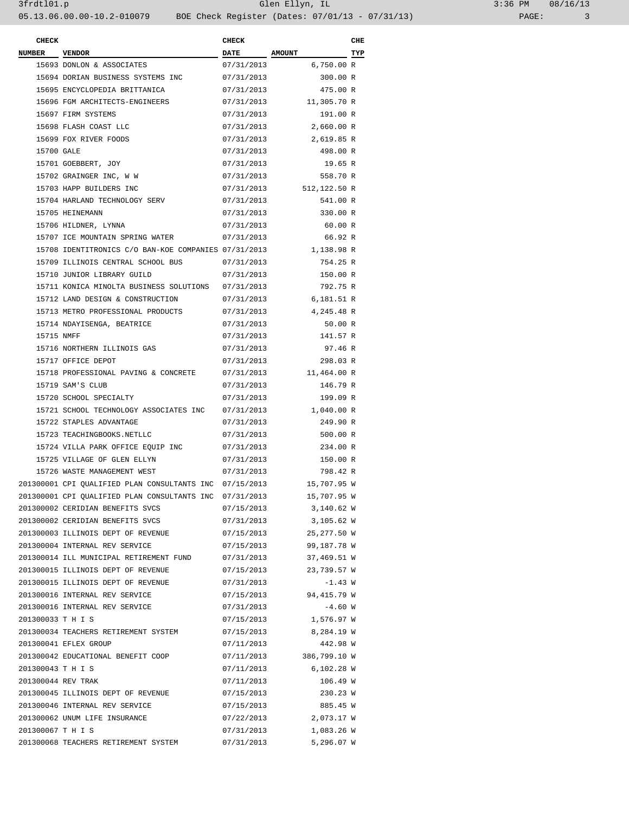## 3frdtl01.p Glen Ellyn, IL 3:36 PM 08/16/13 05.13.06.00.00-10.2-010079 BOE Check Register (Dates: 07/01/13 - 07/31/13) PAGE: 3

| <b>CHECK</b>       |                                                         | <b>CHECK</b> |                        | CHE |
|--------------------|---------------------------------------------------------|--------------|------------------------|-----|
| NUMBER VENDOR      |                                                         | DATE AMOUNT  | $\overline{\text{TP}}$ |     |
|                    | 15693 DONLON & ASSOCIATES                               | 07/31/2013   | 6,750.00 R             |     |
|                    | 15694 DORIAN BUSINESS SYSTEMS INC                       | 07/31/2013   | 300.00 R               |     |
|                    | 15695 ENCYCLOPEDIA BRITTANICA                           | 07/31/2013   | 475.00 R               |     |
|                    | 15696 FGM ARCHITECTS-ENGINEERS                          | 07/31/2013   | 11,305.70 R            |     |
|                    | 15697 FIRM SYSTEMS                                      | 07/31/2013   | 191.00 R               |     |
|                    | 15698 FLASH COAST LLC                                   | 07/31/2013   | 2,660.00 R             |     |
|                    | 15699 FOX RIVER FOODS                                   | 07/31/2013   | 2,619.85 R             |     |
| 15700 GALE         |                                                         | 07/31/2013   | 498.00 R               |     |
|                    | 15701 GOEBBERT, JOY                                     | 07/31/2013   | 19.65 R                |     |
|                    | 15702 GRAINGER INC, W W                                 | 07/31/2013   | 558.70 R               |     |
|                    | 15703 HAPP BUILDERS INC                                 | 07/31/2013   | 512,122.50 R           |     |
|                    | 15704 HARLAND TECHNOLOGY SERV                           | 07/31/2013   | 541.00 R               |     |
|                    | 15705 HEINEMANN                                         | 07/31/2013   | 330.00 R               |     |
|                    | 15706 HILDNER, LYNNA                                    | 07/31/2013   | 60.00 R                |     |
|                    | 15707 ICE MOUNTAIN SPRING WATER                         | 07/31/2013   | 66.92 R                |     |
|                    | 15708 IDENTITRONICS C/O BAN-KOE COMPANIES 07/31/2013    |              | 1,138.98 R             |     |
|                    | 15709 ILLINOIS CENTRAL SCHOOL BUS                       | 07/31/2013   | 754.25 R               |     |
|                    | 15710 JUNIOR LIBRARY GUILD                              | 07/31/2013   | 150.00 R               |     |
|                    | 15711 KONICA MINOLTA BUSINESS SOLUTIONS 07/31/2013      |              | 792.75 R               |     |
|                    | 15712 LAND DESIGN & CONSTRUCTION                        | 07/31/2013   | 6,181.51 R             |     |
|                    | 15713 METRO PROFESSIONAL PRODUCTS                       | 07/31/2013   | 4,245.48 R             |     |
|                    | 15714 NDAYISENGA, BEATRICE                              | 07/31/2013   | 50.00 R                |     |
| 15715 NMFF         |                                                         | 07/31/2013   | 141.57 R               |     |
|                    | 15716 NORTHERN ILLINOIS GAS                             | 07/31/2013   | 97.46 R                |     |
|                    | 15717 OFFICE DEPOT                                      | 07/31/2013   | 298.03 R               |     |
|                    | 15718 PROFESSIONAL PAVING & CONCRETE                    | 07/31/2013   | 11,464.00 R            |     |
|                    | 15719 SAM'S CLUB                                        | 07/31/2013   | 146.79 R               |     |
|                    | 15720 SCHOOL SPECIALTY                                  | 07/31/2013   | 199.09 R               |     |
|                    | 15721 SCHOOL TECHNOLOGY ASSOCIATES INC                  | 07/31/2013   | 1,040.00 R             |     |
|                    | 15722 STAPLES ADVANTAGE                                 | 07/31/2013   | 249.90 R               |     |
|                    | 15723 TEACHINGBOOKS.NETLLC                              | 07/31/2013   | 500.00 R               |     |
|                    | 15724 VILLA PARK OFFICE EQUIP INC                       | 07/31/2013   | 234.00 R               |     |
|                    | 15725 VILLAGE OF GLEN ELLYN                             | 07/31/2013   | 150.00 R               |     |
|                    | 15726 WASTE MANAGEMENT WEST                             | 07/31/2013   | 798.42 R               |     |
|                    | 201300001 CPI QUALIFIED PLAN CONSULTANTS INC 07/15/2013 |              | 15,707.95 W            |     |
|                    | 201300001 CPI QUALIFIED PLAN CONSULTANTS INC            | 07/31/2013   | 15,707.95 W            |     |
|                    | 201300002 CERIDIAN BENEFITS SVCS                        | 07/15/2013   | 3,140.62 W             |     |
|                    | 201300002 CERIDIAN BENEFITS SVCS                        | 07/31/2013   | 3,105.62 W             |     |
|                    | 201300003 ILLINOIS DEPT OF REVENUE                      | 07/15/2013   | 25,277.50 W            |     |
|                    | 201300004 INTERNAL REV SERVICE                          | 07/15/2013   | 99,187.78 W            |     |
|                    | 201300014 ILL MUNICIPAL RETIREMENT FUND                 |              | 37,469.51 W            |     |
|                    | 201300015 ILLINOIS DEPT OF REVENUE                      | 07/31/2013   | 23,739.57 W            |     |
|                    |                                                         | 07/15/2013   |                        |     |
|                    | 201300015 ILLINOIS DEPT OF REVENUE                      | 07/31/2013   | $-1.43 W$              |     |
|                    | 201300016 INTERNAL REV SERVICE                          | 07/15/2013   | 94,415.79 W            |     |
|                    | 201300016 INTERNAL REV SERVICE                          | 07/31/2013   | $-4.60 W$              |     |
| 201300033 T H I S  |                                                         | 07/15/2013   | 1,576.97 W             |     |
|                    | 201300034 TEACHERS RETIREMENT SYSTEM                    | 07/15/2013   | 8,284.19 W             |     |
|                    | 201300041 EFLEX GROUP                                   | 07/11/2013   | 442.98 W               |     |
|                    | 201300042 EDUCATIONAL BENEFIT COOP                      | 07/11/2013   | 386,799.10 W           |     |
| 201300043 T H I S  |                                                         | 07/11/2013   | 6,102.28 W             |     |
| 201300044 REV TRAK |                                                         | 07/11/2013   | 106.49 W               |     |
|                    | 201300045 ILLINOIS DEPT OF REVENUE                      | 07/15/2013   | 230.23 W               |     |
|                    | 201300046 INTERNAL REV SERVICE                          | 07/15/2013   | 885.45 W               |     |
|                    | 201300062 UNUM LIFE INSURANCE                           | 07/22/2013   | 2,073.17 W             |     |
| 201300067 T H I S  |                                                         | 07/31/2013   | 1,083.26 W             |     |
|                    | 201300068 TEACHERS RETIREMENT SYSTEM                    | 07/31/2013   | 5,296.07 W             |     |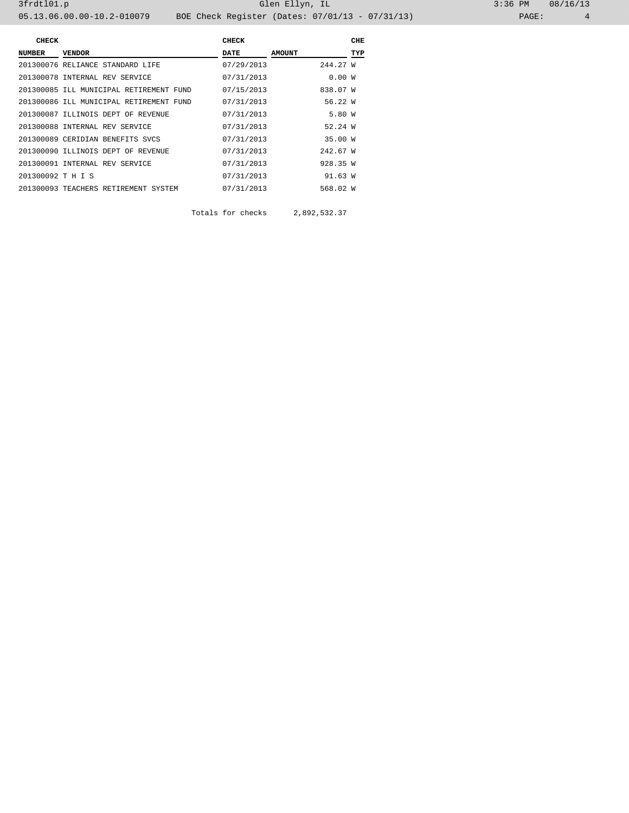| CHECK             |                                         | CHECK      |               | CHE |
|-------------------|-----------------------------------------|------------|---------------|-----|
| NUMBER            | <b>VENDOR</b>                           | DATE       | <b>AMOUNT</b> | TYP |
|                   | 201300076 RELIANCE STANDARD LIFE        | 07/29/2013 | 244.27 W      |     |
|                   | 201300078 INTERNAL REV SERVICE          | 07/31/2013 | 0.00W         |     |
|                   | 201300085 ILL MUNICIPAL RETIREMENT FUND | 07/15/2013 | 838.07 W      |     |
|                   | 201300086 ILL MUNICIPAL RETIREMENT FUND | 07/31/2013 | 56.22 W       |     |
|                   | 201300087 ILLINOIS DEPT OF REVENUE      | 07/31/2013 | 5.80 W        |     |
|                   | 201300088 INTERNAL REV SERVICE          | 07/31/2013 | 52.24W        |     |
|                   | 201300089 CERIDIAN BENEFITS SVCS        | 07/31/2013 | 35.00 W       |     |
|                   | 201300090 ILLINOIS DEPT OF REVENUE      | 07/31/2013 | 242.67 W      |     |
|                   | 201300091 INTERNAL REV SERVICE          | 07/31/2013 | 928.35 W      |     |
| 201300092 T H I S |                                         | 07/31/2013 | 91.63 W       |     |
|                   | 201300093 TEACHERS RETIREMENT SYSTEM    | 07/31/2013 | 568.02 W      |     |
|                   |                                         |            |               |     |

Totals for checks 2,892,532.37